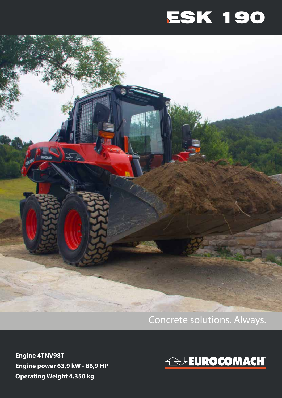# ESK 190



### Concrete solutions. Always.

**Engine 4TNV98T Engine power 63,9 kW - 86,9 HP Operating Weight 4.350 kg**